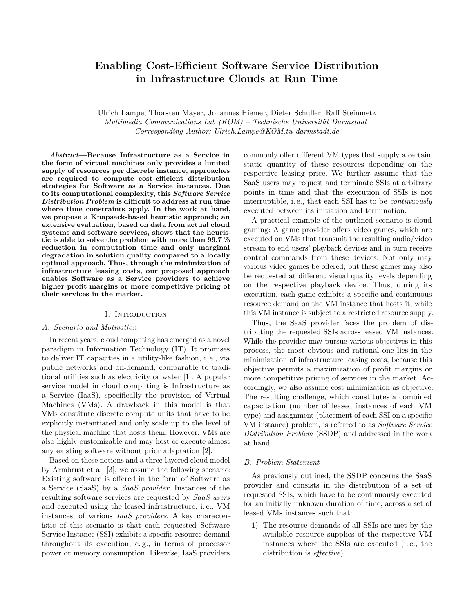# <span id="page-0-0"></span>**Enabling Cost-Efficient Software Service Distribution in Infrastructure Clouds at Run Time**

Ulrich Lampe, Thorsten Mayer, Johannes Hiemer, Dieter Schuller, Ralf Steinmetz *Multimedia Communications Lab (KOM) – Technische Universität Darmstadt Corresponding Author:<Ulrich.Lampe@KOM.tu-darmstadt.de>*

*Abstract***—Because Infrastructure as a Service in the form of virtual machines only provides a limited supply of resources per discrete instance, approaches are required to compute cost-efficient distribution strategies for Software as a Service instances. Due to its computational complexity, this** *Software Service Distribution Problem* **is difficult to address at run time where time constraints apply. In the work at hand, we propose a Knapsack-based heuristic approach; an extensive evaluation, based on data from actual cloud systems and software services, shows that the heuristic is able to solve the problem with more than 99.7 % reduction in computation time and only marginal degradation in solution quality compared to a locally optimal approach. Thus, through the minimization of infrastructure leasing costs, our proposed approach enables Software as a Service providers to achieve higher profit margins or more competitive pricing of their services in the market.**

#### I. Introduction

#### *A. Scenario and Motivation*

In recent years, cloud computing has emerged as a novel paradigm in Information Technology (IT). It promises to deliver IT capacities in a utility-like fashion, i. e., via public networks and on-demand, comparable to traditional utilities such as electricity or water [\[1\]](#page-7-0). A popular service model in cloud computing is Infrastructure as a Service (IaaS), specifically the provision of Virtual Machines (VMs). A drawback in this model is that VMs constitute discrete compute units that have to be explicitly instantiated and only scale up to the level of the physical machine that hosts them. However, VMs are also highly customizable and may host or execute almost any existing software without prior adaptation [\[2\]](#page-7-1).

Based on these notions and a three-layered cloud model by Armbrust et al. [\[3\]](#page-7-2), we assume the following scenario: Existing software is offered in the form of Software as a Service (SaaS) by a *SaaS provider*. Instances of the resulting software services are requested by *SaaS users* and executed using the leased infrastructure, i. e., VM instances, of various *IaaS providers*. A key characteristic of this scenario is that each requested Software Service Instance (SSI) exhibits a specific resource demand throughout its execution, e. g., in terms of processor power or memory consumption. Likewise, IaaS providers commonly offer different VM types that supply a certain, static quantity of these resources depending on the respective leasing price. We further assume that the SaaS users may request and terminate SSIs at arbitrary points in time and that the execution of SSIs is not interruptible, i. e., that each SSI has to be *continuously* executed between its initiation and termination.

A practical example of the outlined scenario is cloud gaming: A game provider offers video games, which are executed on VMs that transmit the resulting audio/video stream to end users' playback devices and in turn receive control commands from these devices. Not only may various video games be offered, but these games may also be requested at different visual quality levels depending on the respective playback device. Thus, during its execution, each game exhibits a specific and continuous resource demand on the VM instance that hosts it, while this VM instance is subject to a restricted resource supply.

Thus, the SaaS provider faces the problem of distributing the requested SSIs across leased VM instances. While the provider may pursue various objectives in this process, the most obvious and rational one lies in the minimization of infrastructure leasing costs, because this objective permits a maximization of profit margins or more competitive pricing of services in the market. Accordingly, we also assume cost minimization as objective. The resulting challenge, which constitutes a combined capacitation (number of leased instances of each VM type) and assignment (placement of each SSI on a specific VM instance) problem, is referred to as *Software Service Distribution Problem* (SSDP) and addressed in the work at hand.

#### *B. Problem Statement*

As previously outlined, the SSDP concerns the SaaS provider and consists in the distribution of a set of requested SSIs, which have to be continuously executed for an initially unknown duration of time, across a set of leased VMs instances such that:

1) The resource demands of all SSIs are met by the available resource supplies of the respective VM instances where the SSIs are executed (i. e., the distribution is *effective*)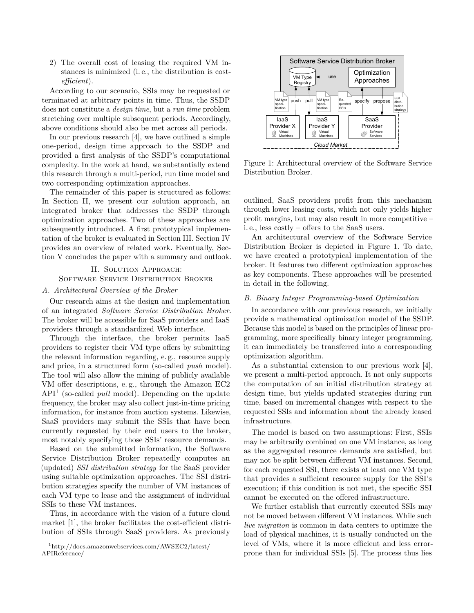2) The overall cost of leasing the required VM instances is minimized (i. e., the distribution is cost*efficient*).

According to our scenario, SSIs may be requested or terminated at arbitrary points in time. Thus, the SSDP does not constitute a *design time*, but a *run time* problem stretching over multiple subsequent periods. Accordingly, above conditions should also be met across all periods.

In our previous research [\[4\]](#page-7-3), we have outlined a simple one-period, design time approach to the SSDP and provided a first analysis of the SSDP's computational complexity. In the work at hand, we substantially extend this research through a multi-period, run time model and two corresponding optimization approaches.

The remainder of this paper is structured as follows: In Section [II,](#page-1-0) we present our solution approach, an integrated broker that addresses the SSDP through optimization approaches. Two of these approaches are subsequently introduced. A first prototypical implementation of the broker is evaluated in Section [III.](#page-4-0) Section [IV](#page-6-0) provides an overview of related work. Eventually, Section [V](#page-7-4) concludes the paper with a summary and outlook.

# <span id="page-1-0"></span>II. Solution Approach: Software Service Distribution Broker

# *A. Architectural Overview of the Broker*

Our research aims at the design and implementation of an integrated *Software Service Distribution Broker*. The broker will be accessible for SaaS providers and IaaS providers through a standardized Web interface.

Through the interface, the broker permits IaaS providers to register their VM type offers by submitting the relevant information regarding, e. g., resource supply and price, in a structured form (so-called *push* model). The tool will also allow the mining of publicly available VM offer descriptions, e. g., through the Amazon EC2 API[1](#page-1-1) (so-called *pull* model). Depending on the update frequency, the broker may also collect just-in-time pricing information, for instance from auction systems. Likewise, SaaS providers may submit the SSIs that have been currently requested by their end users to the broker, most notably specifying those SSIs' resource demands.

Based on the submitted information, the Software Service Distribution Broker repeatedly computes an (updated) *SSI distribution strategy* for the SaaS provider using suitable optimization approaches. The SSI distribution strategies specify the number of VM instances of each VM type to lease and the assignment of individual SSIs to these VM instances.

Thus, in accordance with the vision of a future cloud market [\[1\]](#page-7-0), the broker facilitates the cost-efficient distribution of SSIs through SaaS providers. As previously

<span id="page-1-2"></span>

Figure 1: Architectural overview of the Software Service Distribution Broker.

outlined, SaaS providers profit from this mechanism through lower leasing costs, which not only yields higher profit margins, but may also result in more competitive – i. e., less costly – offers to the SaaS users.

An architectural overview of the Software Service Distribution Broker is depicted in Figure [1.](#page-1-2) To date, we have created a prototypical implementation of the broker. It features two different optimization approaches as key components. These approaches will be presented in detail in the following.

# <span id="page-1-3"></span>*B. Binary Integer Programming-based Optimization*

In accordance with our previous research, we initially provide a mathematical optimization model of the SSDP. Because this model is based on the principles of linear programming, more specifically binary integer programming, it can immediately be transferred into a corresponding optimization algorithm.

As a substantial extension to our previous work [\[4\]](#page-7-3), we present a multi-period approach. It not only supports the computation of an initial distribution strategy at design time, but yields updated strategies during run time, based on incremental changes with respect to the requested SSIs and information about the already leased infrastructure.

The model is based on two assumptions: First, SSIs may be arbitrarily combined on one VM instance, as long as the aggregated resource demands are satisfied, but may not be split between different VM instances. Second, for each requested SSI, there exists at least one VM type that provides a sufficient resource supply for the SSI's execution; if this condition is not met, the specific SSI cannot be executed on the offered infrastructure.

We further establish that currently executed SSIs may not be moved between different VM instances. While such *live migration* is common in data centers to optimize the load of physical machines, it is usually conducted on the level of VMs, where it is more efficient and less errorprone than for individual SSIs [\[5\]](#page-7-5). The process thus lies

<span id="page-1-1"></span><sup>1</sup>[http://docs.amazonwebservices.com/AWSEC2/latest/](http://docs.amazonwebservices.com/AWSEC2/latest/APIReference/) [APIReference/](http://docs.amazonwebservices.com/AWSEC2/latest/APIReference/)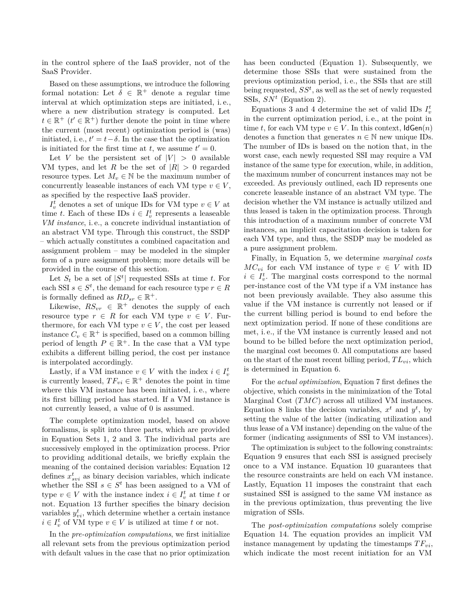in the control sphere of the IaaS provider, not of the SaaS Provider.

Based on these assumptions, we introduce the following formal notation: Let  $\delta \in \mathbb{R}^+$  denote a regular time interval at which optimization steps are initiated, i. e., where a new distribution strategy is computed. Let  $t \in \mathbb{R}^+$  ( $t' \in \mathbb{R}^+$ ) further denote the point in time where the current (most recent) optimization period is (was) initiated, i.e.,  $t' = t - \delta$ . In the case that the optimization is initiated for the first time at *t*, we assume  $t' = 0$ .

Let *V* be the persistent set of  $|V| > 0$  available VM types, and let *R* be the set of  $|R| > 0$  regarded resource types. Let  $M_v \in \mathbb{N}$  be the maximum number of concurrently leaseable instances of each VM type  $v \in V$ , as specified by the respective IaaS provider.

 $I_v^t$  denotes a set of unique IDs for VM type  $v \in V$  at time *t*. Each of these IDs  $i \in I_v^t$  represents a leaseable *VM instance*, i. e., a concrete individual instantiation of an abstract VM type. Through this construct, the SSDP – which actually constitutes a combined capacitation and assignment problem – may be modeled in the simpler form of a pure assignment problem; more details will be provided in the course of this section.

Let  $S_t$  be a set of  $|S^t|$  requested SSIs at time *t*. For each SSI  $s \in S^t$ , the demand for each resource type  $r \in R$ is formally defined as  $RD_{sr} \in \mathbb{R}^+$ .

Likewise,  $RS_{vr} \in \mathbb{R}^+$  denotes the supply of each resource type  $r \in R$  for each VM type  $v \in V$ . Furthermore, for each VM type  $v \in V$ , the cost per leased instance  $C_v \in \mathbb{R}^+$  is specified, based on a common billing period of length  $P \in \mathbb{R}^+$ . In the case that a VM type exhibits a different billing period, the cost per instance is interpolated accordingly.

Lastly, if a VM instance  $v \in V$  with the index  $i \in I_v^t$ is currently leased,  $TF_{vi} \in \mathbb{R}^+$  denotes the point in time where this VM instance has been initiated, i. e., where its first billing period has started. If a VM instance is not currently leased, a value of 0 is assumed.

The complete optimization model, based on above formalisms, is split into three parts, which are provided in Equation Sets [1, 2](#page-0-0) and [3.](#page-0-0) The individual parts are successively employed in the optimization process. Prior to providing additional details, we briefly explain the meaning of the contained decision variables: Equation [12](#page-3-0) defines  $x_{svi}^t$  as binary decision variables, which indicate whether the SSI  $s \in S^t$  has been assigned to a VM of type  $v \in V$  with the instance index  $i \in I_v^t$  at time  $t$  or not. Equation [13](#page-3-1) further specifies the binary decision variables  $y_{vi}^t$ , which determine whether a certain instance  $i \in I_v^t$  of VM type  $v \in V$  is utilized at time  $t$  or not.

In the *pre-optimization computations*, we first initialize all relevant sets from the previous optimization period with default values in the case that no prior optimization

has been conducted (Equation [1\)](#page-3-2). Subsequently, we determine those SSIs that were sustained from the previous optimization period, i. e., the SSIs that are still being requested, *SS<sup>t</sup>* , as well as the set of newly requested SSIs, *SN<sup>t</sup>* (Equation [2\)](#page-3-3).

Equations [3](#page-3-4) and [4](#page-3-5) determine the set of valid IDs  $I_v^t$ in the current optimization period, i. e., at the point in time *t*, for each VM type  $v \in V$ . In this context,  $\text{IdGen}(n)$ denotes a function that generates  $n \in \mathbb{N}$  new unique IDs. The number of IDs is based on the notion that, in the worst case, each newly requested SSI may require a VM instance of the same type for execution, while, in addition, the maximum number of concurrent instances may not be exceeded. As previously outlined, each ID represents one concrete leaseable instance of an abstract VM type. The decision whether the VM instance is actually utilized and thus leased is taken in the optimization process. Through this introduction of a maximum number of concrete VM instances, an implicit capacitation decision is taken for each VM type, and thus, the SSDP may be modeled as a pure assignment problem.

Finally, in Equation [5,](#page-3-6) we determine *marginal costs*  $MC_{vi}$  for each VM instance of type  $v \in V$  with ID  $i \in I_v^t$ . The marginal costs correspond to the normal per-instance cost of the VM type if a VM instance has not been previously available. They also assume this value if the VM instance is currently not leased or if the current billing period is bound to end before the next optimization period. If none of these conditions are met, i. e., if the VM instance is currently leased and not bound to be billed before the next optimization period, the marginal cost becomes 0. All computations are based on the start of the most recent billing period, *T Lvi*, which is determined in Equation [6.](#page-3-7)

For the *actual optimization*, Equation [7](#page-3-8) first defines the objective, which consists in the minimization of the Total Marginal Cost (*TMC*) across all utilized VM instances. Equation [8](#page-3-9) links the decision variables,  $x^t$  and  $y^t$ , by setting the value of the latter (indicating utilization and thus lease of a VM instance) depending on the value of the former (indicating assignments of SSI to VM instances).

The optimization is subject to the following constraints: Equation [9](#page-3-10) ensures that each SSI is assigned precisely once to a VM instance. Equation [10](#page-3-11) guarantees that the resource constraints are held on each VM instance. Lastly, Equation [11](#page-3-12) imposes the constraint that each sustained SSI is assigned to the same VM instance as in the previous optimization, thus preventing the live migration of SSIs.

The *post-optimization computations* solely comprise Equation [14.](#page-3-13) The equation provides an implicit VM instance management by updating the timestamps  $TF_{vi}$ , which indicate the most recent initiation for an VM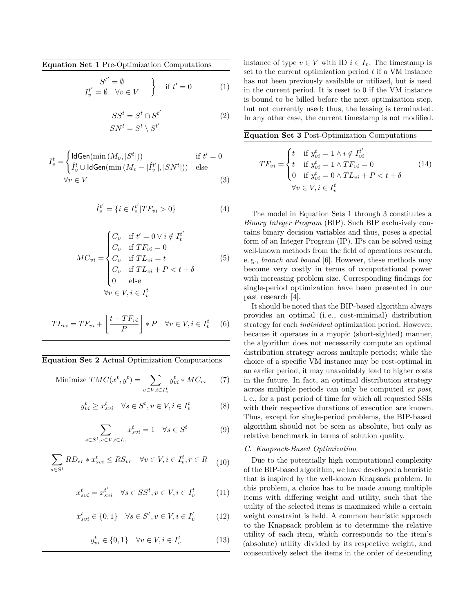**Equation Set 1** Pre-Optimization Computations

$$
S^{t'} = \emptyset
$$
  
\n
$$
I^{t'}_v = \emptyset \quad \forall v \in V
$$
  
\nif  $t' = 0$  (1)

$$
SS^{t} = S^{t} \cap S^{t'} \qquad (2)
$$
  

$$
SN^{t} = S^{t} \setminus S^{t'}
$$

$$
I_v^t = \begin{cases} \n\text{IdGen}(\min(M_v, |S^t|)) & \text{if } t' = 0\\ \n\hat{I}_v^t \cup \text{IdGen}(\min(M_v - |\hat{I}_v^{t'}|, |SN^t|)) & \text{else} \n\end{cases} \tag{3}
$$

$$
\hat{I}_v^{t'} = \{ i \in I_v^{t'} | TF_{vi} > 0 \}
$$
\n(4)

$$
MC_{vi} = \begin{cases} C_v & \text{if } t' = 0 \lor i \notin I_v^{t'} \\ C_v & \text{if } TF_{vi} = 0 \\ C_v & \text{if } TL_{vi} = t \\ C_v & \text{if } TL_{vi} + P < t + \delta \\ 0 & \text{else} \end{cases} \tag{5}
$$

$$
\forall v \in V, i \in I_v^{t}
$$

<span id="page-3-7"></span>
$$
TL_{vi} = TF_{vi} + \left\lfloor \frac{t - TF_{vi}}{P} \right\rfloor * P \quad \forall v \in V, i \in I_v^t \quad (6)
$$

## **Equation Set 2** Actual Optimization Computations

<span id="page-3-8"></span>Minimize 
$$
TMC(x^t, y^t) = \sum_{v \in V, i \in I_v^t} y_{vi}^t * MC_{vi}
$$
 (7)

<span id="page-3-9"></span>
$$
y_{vi}^t \ge x_{svi}^t \quad \forall s \in S^t, v \in V, i \in I_v^t \tag{8}
$$

<span id="page-3-10"></span>
$$
\sum_{s \in S^t, v \in V, i \in I_v} x_{svi}^t = 1 \quad \forall s \in S^t \tag{9}
$$

<span id="page-3-11"></span>
$$
\sum_{s \in S^t} RD_{sr} * x_{svi}^t \le RS_{vr} \quad \forall v \in V, i \in I_v^t, r \in R \quad (10)
$$

$$
x_{svi}^t = x_{svi}^{t'} \quad \forall s \in SS^t, v \in V, i \in I_v^t \tag{11}
$$

<span id="page-3-0"></span>
$$
x_{svi}^t \in \{0, 1\} \quad \forall s \in S^t, v \in V, i \in I_v^t \tag{12}
$$

<span id="page-3-1"></span>
$$
y_{vi}^t \in \{0, 1\} \quad \forall v \in V, i \in I_v^t \tag{13}
$$

<span id="page-3-2"></span>instance of type  $v \in V$  with ID  $i \in I_v$ . The timestamp is set to the current optimization period *t* if a VM instance has not been previously available or utilized, but is used in the current period. It is reset to 0 if the VM instance is bound to be billed before the next optimization step, but not currently used; thus, the leasing is terminated. In any other case, the current timestamp is not modified.

<span id="page-3-13"></span><span id="page-3-3"></span>

| <b>Equation Set 3 Post-Optimization Computations</b>                                                                                                                                                                                             |      |
|--------------------------------------------------------------------------------------------------------------------------------------------------------------------------------------------------------------------------------------------------|------|
| $TF_{vi} = \begin{cases} t & \text{if } y_{vi}^t = 1 \wedge i \notin I_{vi}^{t'} \\ t & \text{if } y_{vi}^t = 1 \wedge TF_{vi} = 0 \\ 0 & \text{if } y_{vi}^t = 0 \wedge TL_{vi} + P < t + \delta \end{cases}$<br>$\forall v \in V, i \in I_v^t$ | (14) |

<span id="page-3-6"></span><span id="page-3-5"></span><span id="page-3-4"></span>The model in Equation Sets [1](#page-0-0) through [3](#page-0-0) constitutes a *Binary Integer Program* (BIP). Such BIP exclusively contains binary decision variables and thus, poses a special form of an Integer Program (IP). IPs can be solved using well-known methods from the field of operations research, e. g., *branch and bound* [\[6\]](#page-7-6). However, these methods may become very costly in terms of computational power with increasing problem size. Corresponding findings for single-period optimization have been presented in our past research [\[4\]](#page-7-3).

It should be noted that the BIP-based algorithm always provides an optimal (i. e., cost-minimal) distribution strategy for each *individual* optimization period. However, because it operates in a myopic (short-sighted) manner, the algorithm does not necessarily compute an optimal distribution strategy across multiple periods; while the choice of a specific VM instance may be cost-optimal in an earlier period, it may unavoidably lead to higher costs in the future. In fact, an optimal distribution strategy across multiple periods can only be computed *ex post*, i. e., for a past period of time for which all requested SSIs with their respective durations of execution are known. Thus, except for single-period problems, the BIP-based algorithm should not be seen as absolute, but only as relative benchmark in terms of solution quality.

# *C. Knapsack-Based Optimization*

<span id="page-3-12"></span>Due to the potentially high computational complexity of the BIP-based algorithm, we have developed a heuristic that is inspired by the well-known Knapsack problem. In this problem, a choice has to be made among multiple items with differing weight and utility, such that the utility of the selected items is maximized while a certain weight constraint is held. A common heuristic approach to the Knapsack problem is to determine the relative utility of each item, which corresponds to the item's (absolute) utility divided by its respective weight, and consecutively select the items in the order of descending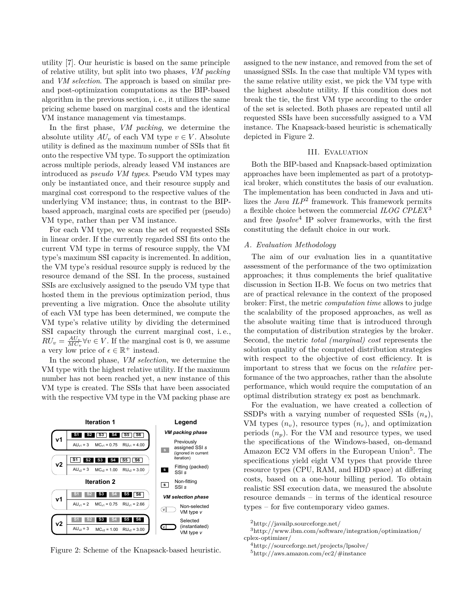utility [\[7\]](#page-7-7). Our heuristic is based on the same principle of relative utility, but split into two phases, *VM packing* and *VM selection*. The approach is based on similar preand post-optimization computations as the BIP-based algorithm in the previous section, i. e., it utilizes the same pricing scheme based on marginal costs and the identical VM instance management via timestamps.

In the first phase, *VM packing*, we determine the absolute utility  $AU<sub>v</sub>$  of each VM type  $v \in V$ . Absolute utility is defined as the maximum number of SSIs that fit onto the respective VM type. To support the optimization across multiple periods, already leased VM instances are introduced as *pseudo VM types*. Pseudo VM types may only be instantiated once, and their resource supply and marginal cost correspond to the respective values of the underlying VM instance; thus, in contrast to the BIPbased approach, marginal costs are specified per (pseudo) VM type, rather than per VM instance.

For each VM type, we scan the set of requested SSIs in linear order. If the currently regarded SSI fits onto the current VM type in terms of resource supply, the VM type's maximum SSI capacity is incremented. In addition, the VM type's residual resource supply is reduced by the resource demand of the SSI. In the process, sustained SSIs are exclusively assigned to the pseudo VM type that hosted them in the previous optimization period, thus preventing a live migration. Once the absolute utility of each VM type has been determined, we compute the VM type's relative utility by dividing the determined SSI capacity through the current marginal cost, i. e.,  $RU_v = \frac{AU_v}{MC_v} \forall v \in V$ . If the marginal cost is 0, we assume a very low price of  $\epsilon \in \mathbb{R}^+$  instead.

In the second phase, *VM selection*, we determine the VM type with the highest relative utility. If the maximum number has not been reached yet, a new instance of this VM type is created. The SSIs that have been associated with the respective VM type in the VM packing phase are

<span id="page-4-1"></span>

Figure 2: Scheme of the Knapsack-based heuristic.

assigned to the new instance, and removed from the set of unassigned SSIs. In the case that multiple VM types with the same relative utility exist, we pick the VM type with the highest absolute utility. If this condition does not break the tie, the first VM type according to the order of the set is selected. Both phases are repeated until all requested SSIs have been successfully assigned to a VM instance. The Knapsack-based heuristic is schematically depicted in Figure [2.](#page-4-1)

## III. Evaluation

<span id="page-4-0"></span>Both the BIP-based and Knapsack-based optimization approaches have been implemented as part of a prototypical broker, which constitutes the basis of our evaluation. The implementation has been conducted in Java and utilizes the *Java ILP*[2](#page-4-2) framework. This framework permits a flexible choice between the commercial *ILOG CPLEX*[3](#page-4-3) and free *lpsolve*[4](#page-4-4) IP solver frameworks, with the first constituting the default choice in our work.

#### *A. Evaluation Methodology*

The aim of our evaluation lies in a quantitative assessment of the performance of the two optimization approaches; it thus complements the brief qualitative discussion in Section [II-B.](#page-1-3) We focus on two metrics that are of practical relevance in the context of the proposed broker: First, the metric *computation time* allows to judge the scalability of the proposed approaches, as well as the absolute waiting time that is introduced through the computation of distribution strategies by the broker. Second, the metric *total (marginal) cost* represents the solution quality of the computed distribution strategies with respect to the objective of cost efficiency. It is important to stress that we focus on the *relative* performance of the two approaches, rather than the absolute performance, which would require the computation of an optimal distribution strategy ex post as benchmark.

For the evaluation, we have created a collection of SSDPs with a varying number of requested SSIs (*ns*), VM types  $(n_v)$ , resource types  $(n_r)$ , and optimization periods  $(n_p)$ . For the VM and resource types, we used the specifications of the Windows-based, on-demand Amazon EC2 VM offers in the European Union<sup>[5](#page-4-5)</sup>. The specifications yield eight VM types that provide three resource types (CPU, RAM, and HDD space) at differing costs, based on a one-hour billing period. To obtain realistic SSI execution data, we measured the absolute resource demands – in terms of the identical resource types – for five contemporary video games.

<span id="page-4-3"></span><span id="page-4-2"></span><sup>2</sup><http://javailp.sourceforge.net/>

<sup>3</sup>[http://www.ibm.com/software/integration/optimization/](http://www.ibm.com/software/integration/optimization/cplex-optimizer/) [cplex-optimizer/](http://www.ibm.com/software/integration/optimization/cplex-optimizer/)

<span id="page-4-4"></span><sup>4</sup><http://sourceforge.net/projects/lpsolve/>

<span id="page-4-5"></span><sup>5</sup><http://aws.amazon.com/ec2/#instance>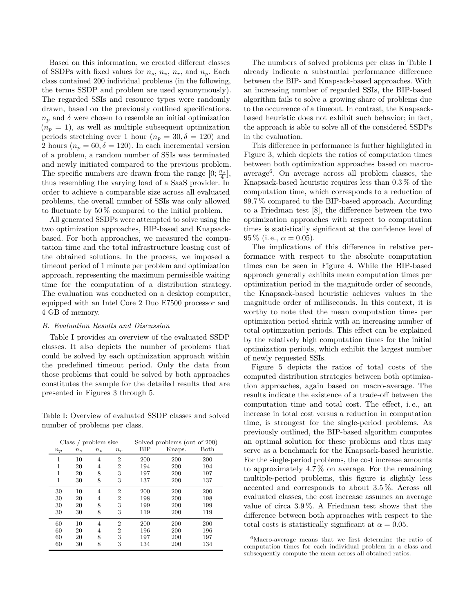Based on this information, we created different classes of SSDPs with fixed values for  $n_s$ ,  $n_v$ ,  $n_r$ , and  $n_p$ . Each class contained 200 individual problems (in the following, the terms SSDP and problem are used synonymously). The regarded SSIs and resource types were randomly drawn, based on the previously outlined specifications.  $n_p$  and  $\delta$  were chosen to resemble an initial optimization  $(n_p = 1)$ , as well as multiple subsequent optimization periods stretching over 1 hour  $(n_p = 30, \delta = 120)$  and 2 hours  $(n_p = 60, \delta = 120)$ . In each incremental version of a problem, a random number of SSIs was terminated and newly initiated compared to the previous problem. The specific numbers are drawn from the range  $[0; \frac{n_s}{4}]$ , thus resembling the varying load of a SaaS provider. In order to achieve a comparable size across all evaluated problems, the overall number of SSIs was only allowed to fluctuate by 50 % compared to the initial problem.

All generated SSDPs were attempted to solve using the two optimization approaches, BIP-based and Knapsackbased. For both approaches, we measured the computation time and the total infrastructure leasing cost of the obtained solutions. In the process, we imposed a timeout period of 1 minute per problem and optimization approach, representing the maximum permissible waiting time for the computation of a distribution strategy. The evaluation was conducted on a desktop computer, equipped with an Intel Core 2 Duo E7500 processor and 4 GB of memory.

## *B. Evaluation Results and Discussion*

Table [I](#page-5-0) provides an overview of the evaluated SSDP classes. It also depicts the number of problems that could be solved by each optimization approach within the predefined timeout period. Only the data from those problems that could be solved by both approaches constitutes the sample for the detailed results that are presented in Figures [3](#page-6-1) through [5.](#page-6-2)

<span id="page-5-0"></span>Table I: Overview of evaluated SSDP classes and solved number of problems per class.

| Class / problem size |         |       | Solved problems (out of 200) |     |        |      |
|----------------------|---------|-------|------------------------------|-----|--------|------|
| $n_p$                | $n_{s}$ | $n_v$ | $n_r$                        | ВIР | Knaps. | Both |
| 1                    | 10      | 4     | $\overline{2}$               | 200 | 200    | 200  |
| 1                    | 20      | 4     | 2                            | 194 | 200    | 194  |
| 1                    | 20      | 8     | 3                            | 197 | 200    | 197  |
| 1                    | 30      | 8     | 3                            | 137 | 200    | 137  |
| 30                   | 10      | 4     | $\overline{2}$               | 200 | 200    | 200  |
| 30                   | 20      | 4     | $\overline{2}$               | 198 | 200    | 198  |
| 30                   | 20      | 8     | 3                            | 199 | 200    | 199  |
| 30                   | 30      | 8     | 3                            | 119 | 200    | 119  |
| 60                   | 10      | 4     | $\overline{2}$               | 200 | 200    | 200  |
| 60                   | 20      | 4     | $\overline{2}$               | 196 | 200    | 196  |
| 60                   | 20      | 8     | 3                            | 197 | 200    | 197  |
| 60                   | 30      | 8     | 3                            | 134 | 200    | 134  |

The numbers of solved problems per class in Table [I](#page-5-0) already indicate a substantial performance difference between the BIP- and Knapsack-based approaches. With an increasing number of regarded SSIs, the BIP-based algorithm fails to solve a growing share of problems due to the occurrence of a timeout. In contrast, the Knapsackbased heuristic does not exhibit such behavior; in fact, the approach is able to solve all of the considered SSDPs in the evaluation.

This difference in performance is further highlighted in Figure [3,](#page-6-1) which depicts the ratios of computation times between both optimization approaches based on macroaverage[6](#page-5-1) . On average across all problem classes, the Knapsack-based heuristic requires less than 0.3 % of the computation time, which corresponds to a reduction of 99.7 % compared to the BIP-based approach. According to a Friedman test [\[8\]](#page-7-8), the difference between the two optimization approaches with respect to computation times is statistically significant at the confidence level of  $95\%$  (i.e.,  $\alpha = 0.05$ ).

The implications of this difference in relative performance with respect to the absolute computation times can be seen in Figure [4.](#page-6-3) While the BIP-based approach generally exhibits mean computation times per optimization period in the magnitude order of seconds, the Knapsack-based heuristic achieves values in the magnitude order of milliseconds. In this context, it is worthy to note that the mean computation times per optimization period shrink with an increasing number of total optimization periods. This effect can be explained by the relatively high computation times for the initial optimization periods, which exhibit the largest number of newly requested SSIs.

Figure [5](#page-6-2) depicts the ratios of total costs of the computed distribution strategies between both optimization approaches, again based on macro-average. The results indicate the existence of a trade-off between the computation time and total cost. The effect, i. e., an increase in total cost versus a reduction in computation time, is strongest for the single-period problems. As previously outlined, the BIP-based algorithm computes an optimal solution for these problems and thus may serve as a benchmark for the Knapsack-based heuristic. For the single-period problems, the cost increase amounts to approximately  $4.7\%$  on average. For the remaining multiple-period problems, this figure is slightly less accented and corresponds to about 3.5 %. Across all evaluated classes, the cost increase assumes an average value of circa 3.9 %. A Friedman test shows that the difference between both approaches with respect to the total costs is statistically significant at  $\alpha = 0.05$ .

<span id="page-5-1"></span><sup>6</sup>Macro-average means that we first determine the ratio of computation times for each individual problem in a class and subsequently compute the mean across all obtained ratios.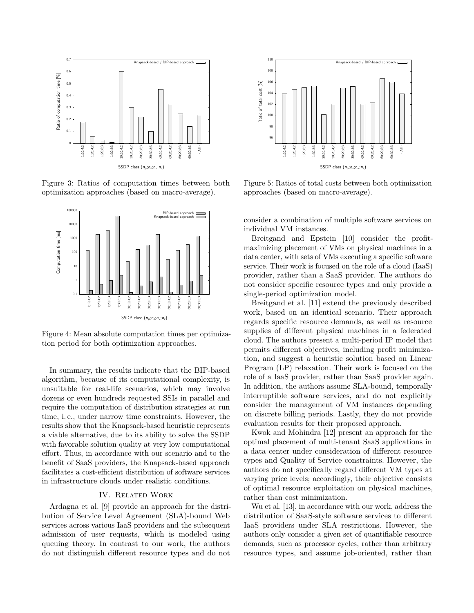<span id="page-6-1"></span>

Figure 3: Ratios of computation times between both optimization approaches (based on macro-average).

<span id="page-6-3"></span>

Figure 4: Mean absolute computation times per optimization period for both optimization approaches.

In summary, the results indicate that the BIP-based algorithm, because of its computational complexity, is unsuitable for real-life scenarios, which may involve dozens or even hundreds requested SSIs in parallel and require the computation of distribution strategies at run time, i. e., under narrow time constraints. However, the results show that the Knapsack-based heuristic represents a viable alternative, due to its ability to solve the SSDP with favorable solution quality at very low computational effort. Thus, in accordance with our scenario and to the benefit of SaaS providers, the Knapsack-based approach facilitates a cost-efficient distribution of software services in infrastructure clouds under realistic conditions.

## IV. Related Work

<span id="page-6-0"></span>Ardagna et al. [\[9\]](#page-7-9) provide an approach for the distribution of Service Level Agreement (SLA)-bound Web services across various IaaS providers and the subsequent admission of user requests, which is modeled using queuing theory. In contrast to our work, the authors do not distinguish different resource types and do not

<span id="page-6-2"></span>

Figure 5: Ratios of total costs between both optimization approaches (based on macro-average).

consider a combination of multiple software services on individual VM instances.

Breitgand and Epstein [\[10\]](#page-7-10) consider the profitmaximizing placement of VMs on physical machines in a data center, with sets of VMs executing a specific software service. Their work is focused on the role of a cloud (IaaS) provider, rather than a SaaS provider. The authors do not consider specific resource types and only provide a single-period optimization model.

Breitgand et al. [\[11\]](#page-7-11) extend the previously described work, based on an identical scenario. Their approach regards specific resource demands, as well as resource supplies of different physical machines in a federated cloud. The authors present a multi-period IP model that permits different objectives, including profit minimization, and suggest a heuristic solution based on Linear Program (LP) relaxation. Their work is focused on the role of a IaaS provider, rather than SaaS provider again. In addition, the authors assume SLA-bound, temporally interruptible software services, and do not explicitly consider the management of VM instances depending on discrete billing periods. Lastly, they do not provide evaluation results for their proposed approach.

Kwok and Mohindra [\[12\]](#page-7-12) present an approach for the optimal placement of multi-tenant SaaS applications in a data center under consideration of different resource types and Quality of Service constraints. However, the authors do not specifically regard different VM types at varying price levels; accordingly, their objective consists of optimal resource exploitation on physical machines, rather than cost minimization.

Wu et al. [\[13\]](#page-7-13), in accordance with our work, address the distribution of SaaS-style software services to different IaaS providers under SLA restrictions. However, the authors only consider a given set of quantifiable resource demands, such as processor cycles, rather than arbitrary resource types, and assume job-oriented, rather than